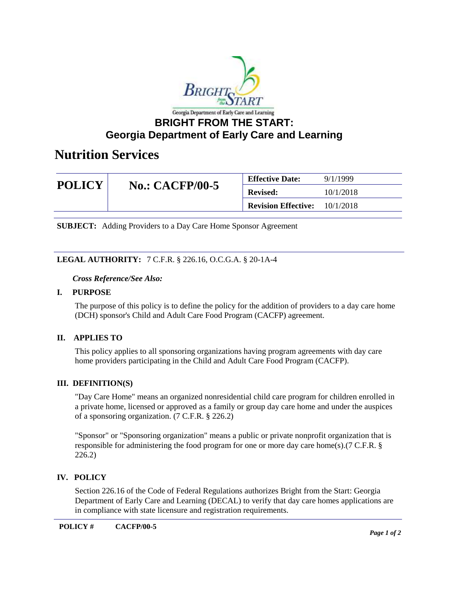

# **Nutrition Services**

| <b>POLICY</b> | <b>No.: CACFP/00-5</b> | <b>Effective Date:</b>     | 9/1/1999  |
|---------------|------------------------|----------------------------|-----------|
|               |                        | <b>Revised:</b>            | 10/1/2018 |
|               |                        | <b>Revision Effective:</b> | 10/1/2018 |

**SUBJECT:** Adding Providers to a Day Care Home Sponsor Agreement

### **LEGAL AUTHORITY:** 7 C.F.R. § 226.16, O.C.G.A. § 20-1A-4

#### *Cross Reference/See Also:*

#### **I. PURPOSE**

The purpose of this policy is to define the policy for the addition of providers to a day care home (DCH) sponsor's Child and Adult Care Food Program (CACFP) agreement.

### **II. APPLIES TO**

This policy applies to all sponsoring organizations having program agreements with day care home providers participating in the Child and Adult Care Food Program (CACFP).

### **III. DEFINITION(S)**

"Day Care Home" means an organized nonresidential child care program for children enrolled in a private home, licensed or approved as a family or group day care home and under the auspices of a sponsoring organization. (7 C.F.R. § 226.2)

"Sponsor" or "Sponsoring organization" means a public or private nonprofit organization that is responsible for administering the food program for one or more day care home(s).(7 C.F.R. § 226.2)

### **IV. POLICY**

Section 226.16 of the Code of Federal Regulations authorizes Bright from the Start: Georgia Department of Early Care and Learning (DECAL) to verify that day care homes applications are in compliance with state licensure and registration requirements.